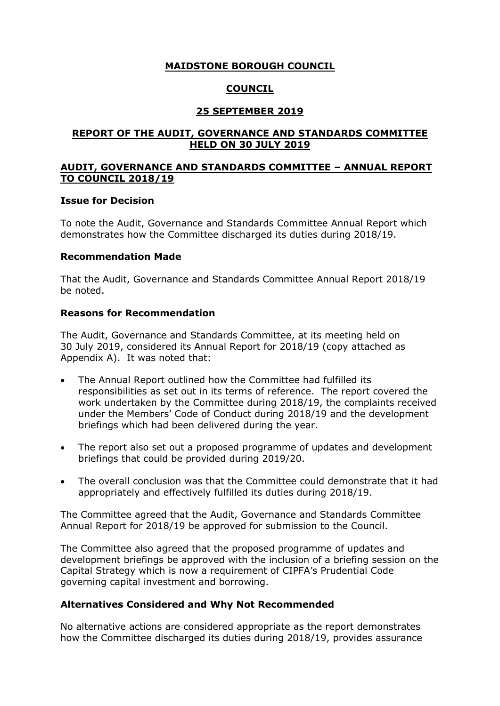## **MAIDSTONE BOROUGH COUNCIL**

## **COUNCIL**

## **25 SEPTEMBER 2019**

### **REPORT OF THE AUDIT, GOVERNANCE AND STANDARDS COMMITTEE HELD ON 30 JULY 2019**

### **AUDIT, GOVERNANCE AND STANDARDS COMMITTEE – ANNUAL REPORT TO COUNCIL 2018/19**

#### **Issue for Decision**

To note the Audit, Governance and Standards Committee Annual Report which demonstrates how the Committee discharged its duties during 2018/19.

### **Recommendation Made**

That the Audit, Governance and Standards Committee Annual Report 2018/19 be noted.

### **Reasons for Recommendation**

The Audit, Governance and Standards Committee, at its meeting held on 30 July 2019, considered its Annual Report for 2018/19 (copy attached as Appendix A). It was noted that:

- The Annual Report outlined how the Committee had fulfilled its responsibilities as set out in its terms of reference. The report covered the work undertaken by the Committee during 2018/19, the complaints received under the Members' Code of Conduct during 2018/19 and the development briefings which had been delivered during the year.
- The report also set out a proposed programme of updates and development briefings that could be provided during 2019/20.
- The overall conclusion was that the Committee could demonstrate that it had appropriately and effectively fulfilled its duties during 2018/19.

The Committee agreed that the Audit, Governance and Standards Committee Annual Report for 2018/19 be approved for submission to the Council.

The Committee also agreed that the proposed programme of updates and development briefings be approved with the inclusion of a briefing session on the Capital Strategy which is now a requirement of CIPFA's Prudential Code governing capital investment and borrowing.

## **Alternatives Considered and Why Not Recommended**

No alternative actions are considered appropriate as the report demonstrates how the Committee discharged its duties during 2018/19, provides assurance